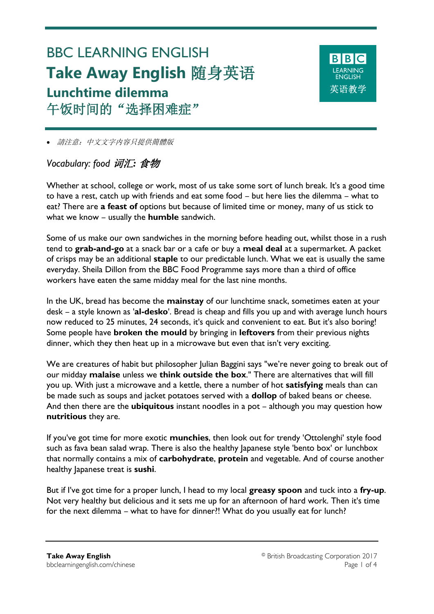# BBC LEARNING ENGLISH **Take Away English** 随身英语 **Lunchtime dilemma** 午饭时间的"选择困难症"

**BBC** 革语教学

請注意:中文文字内容只提供簡體版

# *Vocabulary: food* 词汇*:* 食物

Ξ

Whether at school, college or work, most of us take some sort of lunch break. It's a good time to have a rest, catch up with friends and eat some food – but here lies the dilemma – what to eat? There are **a feast of** options but because of limited time or money, many of us stick to what we know – usually the **humble** sandwich.

Some of us make our own sandwiches in the morning before heading out, whilst those in a rush tend to **grab-and-go** at a snack bar or a cafe or buy a **meal deal** at a supermarket. A packet of crisps may be an additional **staple** to our predictable lunch. What we eat is usually the same everyday. Sheila Dillon from the BBC Food Programme says more than a third of office workers have eaten the same midday meal for the last nine months.

In the UK, bread has become the **mainstay** of our lunchtime snack, sometimes eaten at your desk – a style known as '**al-desko**'. Bread is cheap and fills you up and with average lunch hours now reduced to 25 minutes, 24 seconds, it's quick and convenient to eat. But it's also boring! Some people have **broken the mould** by bringing in **leftovers** from their previous nights dinner, which they then heat up in a microwave but even that isn't very exciting.

We are creatures of habit but philosopher Julian Baggini says "we're never going to break out of our midday **malaise** unless we **think outside the box**." There are alternatives that will fill you up. With just a microwave and a kettle, there a number of hot **satisfying** meals than can be made such as soups and jacket potatoes served with a **dollop** of baked beans or cheese. And then there are the **ubiquitous** instant noodles in a pot – although you may question how **nutritious** they are.

If you've got time for more exotic **munchies**, then look out for trendy 'Ottolenghi' style food such as fava bean salad wrap. There is also the healthy Japanese style 'bento box' or lunchbox that normally contains a mix of **carbohydrate**, **protein** and vegetable. And of course another healthy Japanese treat is **sushi**.

But if I've got time for a proper lunch, I head to my local **greasy spoon** and tuck into a **fry-up**. Not very healthy but delicious and it sets me up for an afternoon of hard work. Then it's time for the next dilemma – what to have for dinner?! What do you usually eat for lunch?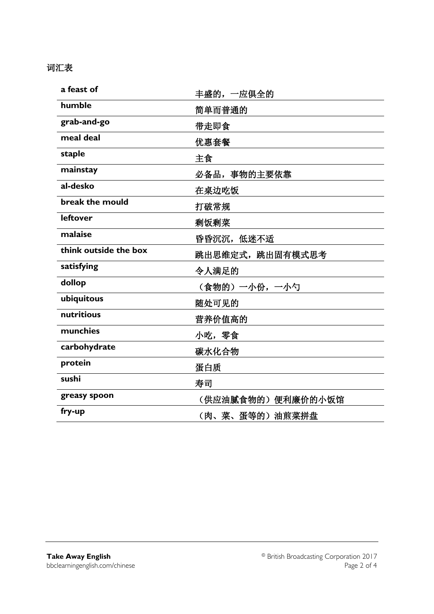## 词汇表

| a feast of            | 丰盛的, 一应俱全的         |  |  |
|-----------------------|--------------------|--|--|
| humble                | 简单而普通的             |  |  |
| grab-and-go           | 带走即食               |  |  |
| meal deal             | 优惠套餐               |  |  |
| staple                | 主食                 |  |  |
| mainstay              | 必备品, 事物的主要依靠       |  |  |
| al-desko              | 在桌边吃饭              |  |  |
| break the mould       | 打破常规               |  |  |
| <b>leftover</b>       | 剩饭剩菜               |  |  |
| malaise               | 昏昏沉沉,低迷不适          |  |  |
| think outside the box | 跳出思维定式, 跳出固有模式思考   |  |  |
| satisfying            | 令人满足的              |  |  |
| dollop                | (食物的)一小份,一小勺       |  |  |
| ubiquitous            | 随处可见的              |  |  |
| nutritious            | 营养价值高的             |  |  |
| munchies              | 小吃,零食              |  |  |
| carbohydrate          | 碳水化合物              |  |  |
| protein               | 蛋白质                |  |  |
| sushi                 | 寿司                 |  |  |
| greasy spoon          | (供应油腻食物的) 便利廉价的小饭馆 |  |  |
| fry-up                | (肉、菜、蛋等的) 油煎菜拼盘    |  |  |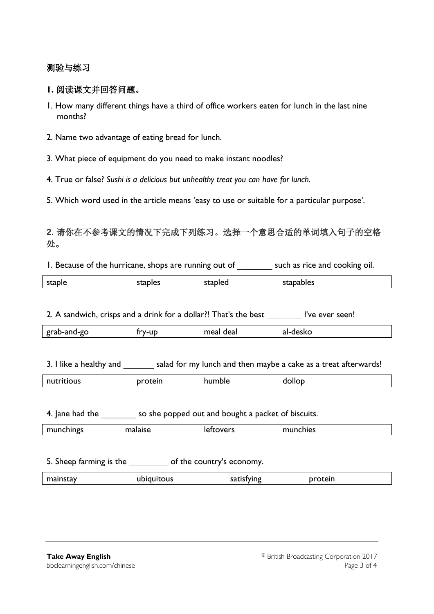#### 测验与练习

#### **1.** 阅读课文并回答问题。

- 1. How many different things have a third of office workers eaten for lunch in the last nine months?
- 2. Name two advantage of eating bread for lunch.
- 3. What piece of equipment do you need to make instant noodles?
- 4. True or false? *Sushi is a delicious but unhealthy treat you can have for lunch.*
- 5. Which word used in the article means 'easy to use or suitable for a particular purpose'.

### **2.** 请你在不参考课文的情况下完成下列练习。选择一个意思合适的单词填入句子的空格 处。

| I. Because of the hurricane, shops are running out of                                   |            |            | such as rice and cooking oil. |  |  |
|-----------------------------------------------------------------------------------------|------------|------------|-------------------------------|--|--|
| staple                                                                                  | staples    | stapled    | stapables                     |  |  |
|                                                                                         |            |            |                               |  |  |
| 2. A sandwich, crisps and a drink for a dollar?! That's the best l've ever seen!        |            |            |                               |  |  |
| grab-and-go                                                                             | fry-up     | meal deal  | al-desko                      |  |  |
|                                                                                         |            |            |                               |  |  |
| 3. I like a healthy and salad for my lunch and then maybe a cake as a treat afterwards! |            |            |                               |  |  |
| nutritious                                                                              | protein    | humble     | dollop                        |  |  |
|                                                                                         |            |            |                               |  |  |
| 4. Jane had the so she popped out and bought a packet of biscuits.                      |            |            |                               |  |  |
| munchings                                                                               | malaise    | leftovers  | munchies                      |  |  |
|                                                                                         |            |            |                               |  |  |
| 5. Sheep farming is the same of the country's economy.                                  |            |            |                               |  |  |
| mainstay                                                                                | ubiquitous | satisfying | protein                       |  |  |